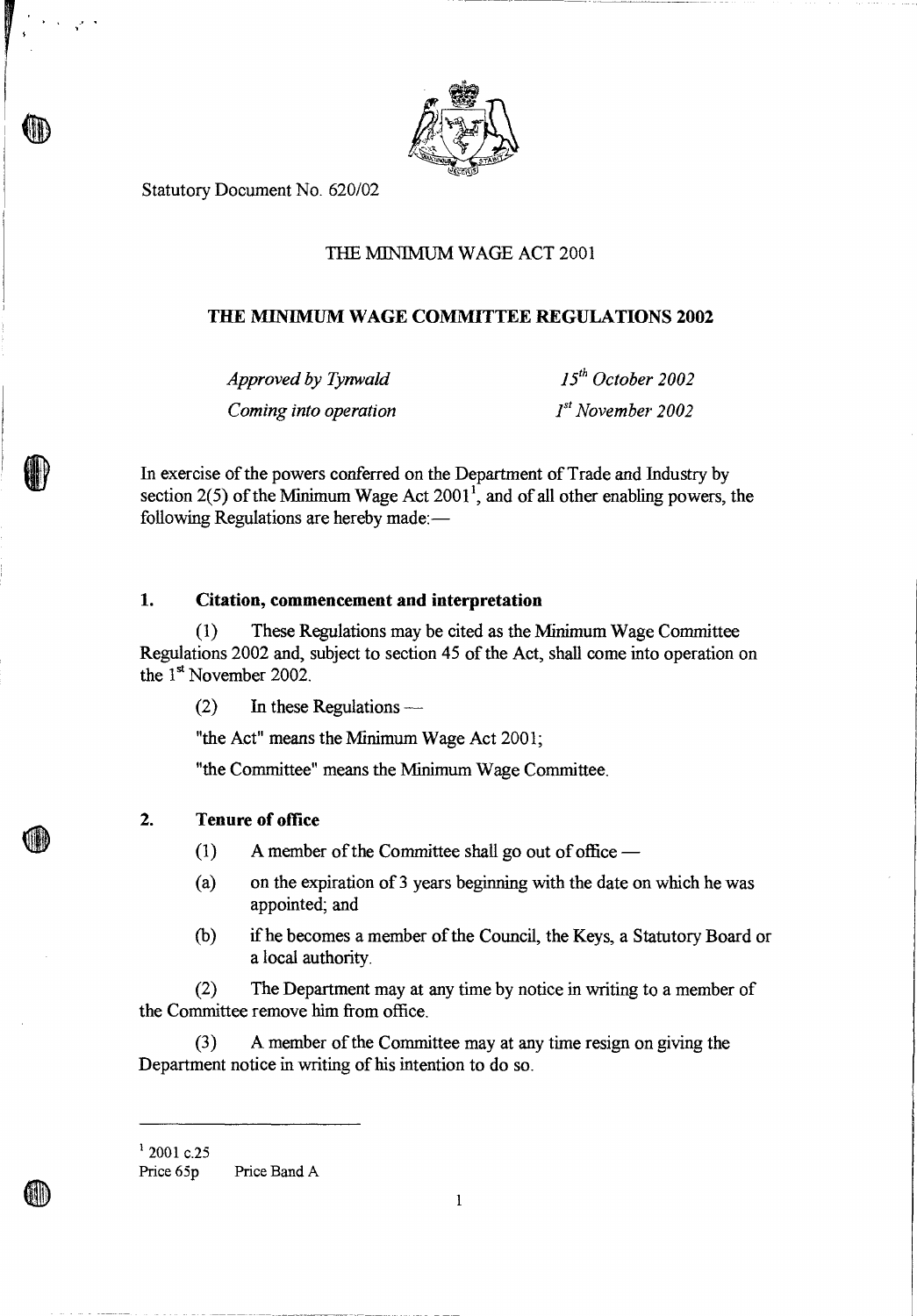

Statutory Document No. 620/02

# THE MINIMUM WAGE ACT 2001

## **THE MINIMUM WAGE COMMITTEE REGULATIONS 2002**

*Approved by Tynwald* 15<sup>th</sup> October 2002 *Coming into operation* 1st November 2002

In exercise of the powers conferred on the Department of Trade and Industry by section  $2(5)$  of the Minimum Wage Act  $2001<sup>1</sup>$ , and of all other enabling powers, the following Regulations are hereby made:—

#### **1. Citation, commencement and interpretation**

(1) These Regulations may be cited as the Minimum Wage Committee Regulations 2002 and, subject to section 45 of the Act, shall come into operation on the 1<sup>st</sup> November 2002.

(2) In these Regulations —

"the Act" means the Minimum Wage Act 2001;

"the Committee" means the Minimum Wage Committee.

### **2. Tenure of office**

(1) A member of the Committee shall go out of office  $-$ 

- (a) on the expiration of 3 years beginning with the date on which he was appointed; and
- (b) if he becomes a member of the Council, the Keys, a Statutory Board or a local authority.

(2) The Department may at any time by notice in writing to a member of the Committee remove him from office.

(3) A member of the Committee may at any time resign on giving the Department notice in writing of his intention to do so.

 $12001$  c.25

Price 65p Price Band A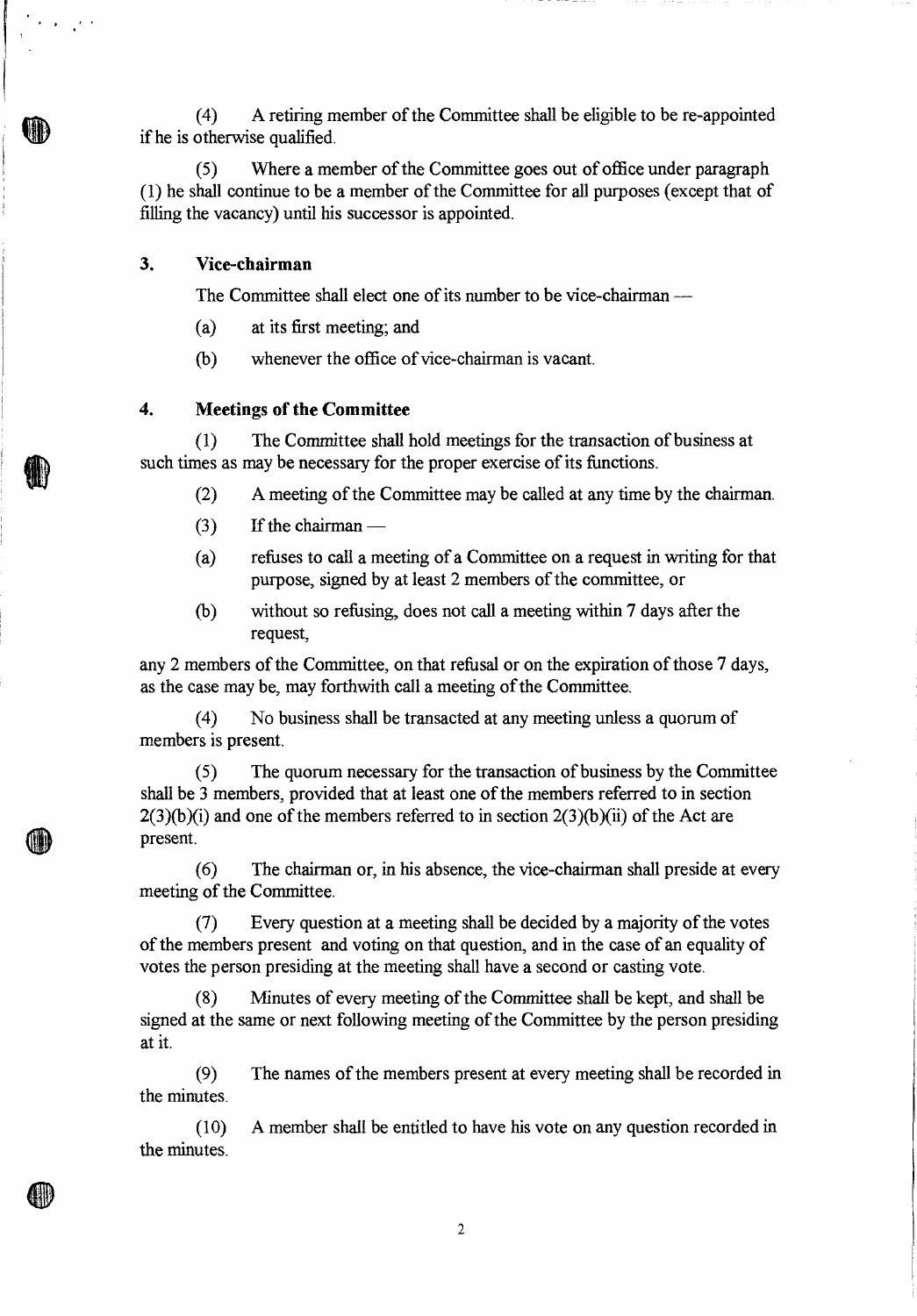(4) A retiring member of the Committee shall be eligible to be re-appointed if he is otherwise qualified.

(5) Where a member of the Committee goes out of office under paragraph (1) he shall continue to be a member of the Committee for all purposes (except that of filling the vacancy) until his successor is appointed.

## **3. Vice-chairman**

w

The Committee shall elect one of its number to be vice-chairman —

- (a) at its first meeting; and
- (b) whenever the office of vice-chairman is vacant.

#### **4. Meetings of the Committee**

(1) The Committee shall hold meetings for the transaction of business at such times as may be necessary for the proper exercise of its functions.

- (2) A meeting of the Committee may be called at any time by the chairman.
- $(3)$  If the chairman —
- (a) refuses to call a meeting of a Committee on a request in writing for that purpose, signed by at least 2 members of the committee, or
- (b) without so refusing, does not call a meeting within 7 days after the request,

any 2 members of the Committee, on that refusal or on the expiration of those 7 days, as the case may be, may forthwith call a meeting of the Committee.

(4) No business shall be transacted at any meeting unless a quorum of members is present.

(5) The quorum necessary for the transaction of business by the Committee shall be 3 members, provided that at least one of the members referred to in section  $2(3)(b)(i)$  and one of the members referred to in section  $2(3)(b)(ii)$  of the Act are present.

(6) The chairman or, in his absence, the vice-chairman shall preside at every meeting of the Committee.

(7) Every question at a meeting shall be decided by a majority of the votes of the members present and voting on that question, and in the case of an equality of votes the person presiding at the meeting shall have a second or casting vote.

(8) Minutes of every meeting of the Committee shall be kept, and shall be signed at the same or next following meeting of the Committee by the person presiding at it.

(9) The names of the members present at every meeting shall be recorded in the minutes.

(10) A member shall be entitled to have his vote on any question recorded in the minutes.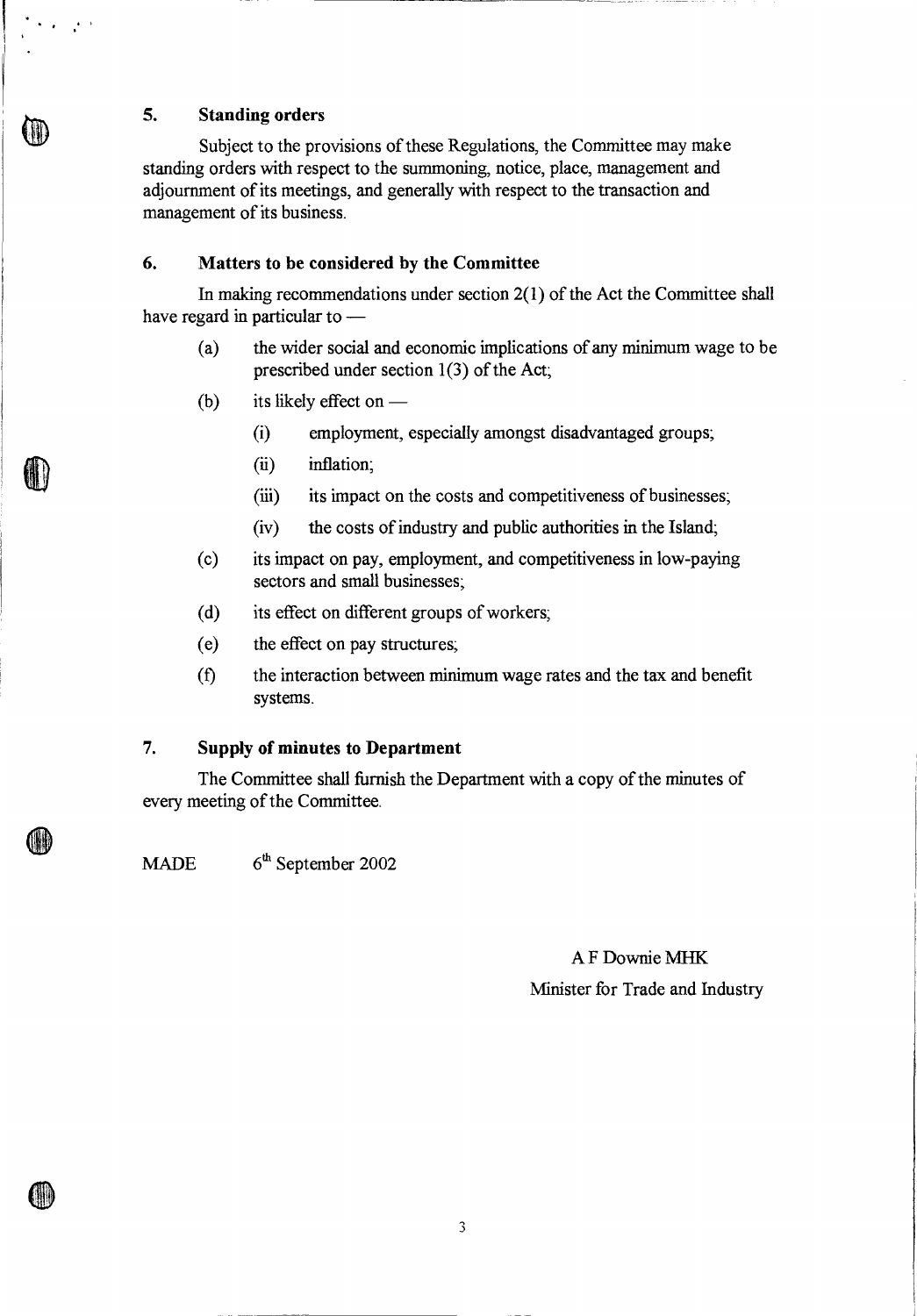## **5. Standing orders**

 $\langle \cdot \rangle_{\mathcal{F}}$ 

Subject to the provisions of these Regulations, the Committee may make standing orders with respect to the summoning, notice, place, management and adjournment of its meetings, and generally with respect to the transaction and management of its business.

# **6. Matters to be considered by the Committee**

In making recommendations under section  $2(1)$  of the Act the Committee shall have regard in particular to —

- (a) the wider social and economic implications of any minimum wage to be prescribed under section 1(3) of the Act;
- (b) its likely effect on  $-$ 
	- (i) employment, especially amongst disadvantaged groups;
	- (ii) inflation;
	- (iii) its impact on the costs and competitiveness of businesses;
	- (iv) the costs of industry and public authorities in the Island;
- (c) its impact on pay, employment, and competitiveness in low-paying sectors and small businesses;
- (d) its effect on different groups of workers;
- (e) the effect on pay structures;
- (f) the interaction between minimum wage rates and the tax and benefit systems.

#### **7. Supply of minutes to Department**

The Committee shall furnish the Department with a copy of the minutes of every meeting of the Committee.

MADE  $6<sup>th</sup>$  September 2002

# A F Downie MHK

Minister for Trade and Industry